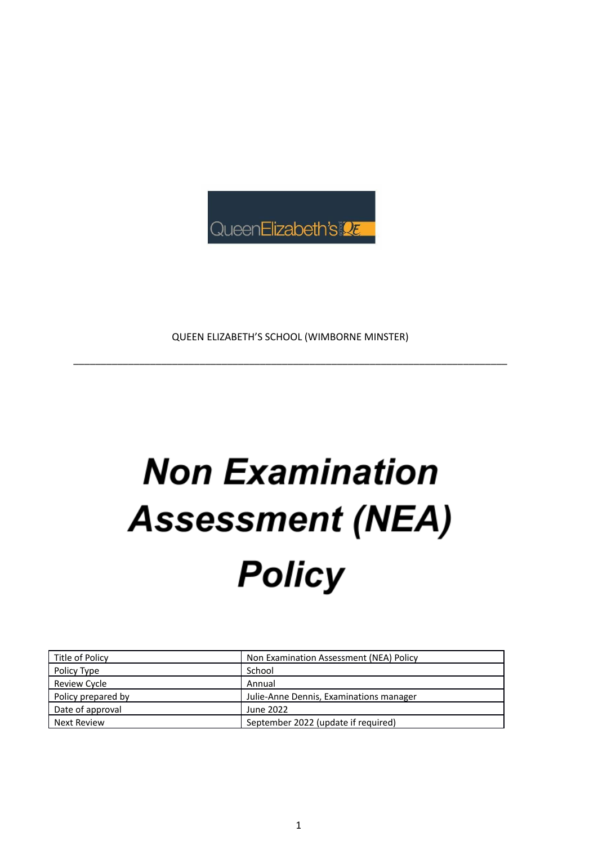

QUEEN ELIZABETH'S SCHOOL (WIMBORNE MINSTER)

\_\_\_\_\_\_\_\_\_\_\_\_\_\_\_\_\_\_\_\_\_\_\_\_\_\_\_\_\_\_\_\_\_\_\_\_\_\_\_\_\_\_\_\_\_\_\_\_\_\_\_\_\_\_\_\_\_\_\_\_\_\_\_\_\_\_\_\_\_\_\_\_\_\_\_\_\_\_\_

# **Non Examination Assessment (NEA) Policy**

| Title of Policy    | Non Examination Assessment (NEA) Policy |
|--------------------|-----------------------------------------|
| Policy Type        | School                                  |
| Review Cycle       | Annual                                  |
| Policy prepared by | Julie-Anne Dennis, Examinations manager |
| Date of approval   | June 2022                               |
| Next Review        | September 2022 (update if required)     |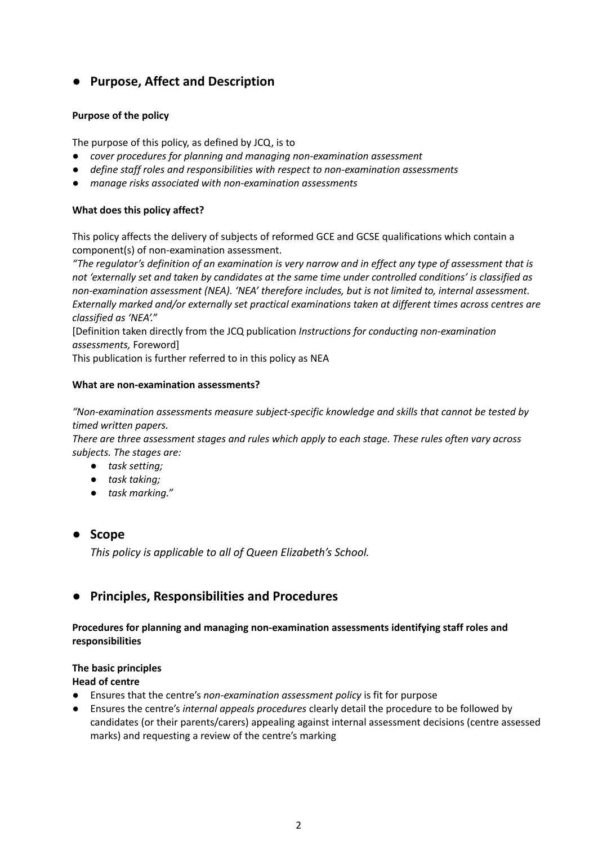# **● Purpose, Affect and Description**

# **Purpose of the policy**

The purpose of this policy, as defined by JCQ, is to

- *● cover procedures for planning and managing non-examination assessment*
- *● define staff roles and responsibilities with respect to non-examination assessments*
- *● manage risks associated with non-examination assessments*

# **What does this policy affect?**

This policy affects the delivery of subjects of reformed GCE and GCSE qualifications which contain a component(s) of non-examination assessment.

"The regulator's definition of an examination is very narrow and in effect any type of assessment that is not 'externally set and taken by candidates at the same time under controlled conditions' is classified as *non-examination assessment (NEA). 'NEA' therefore includes, but is not limited to, internal assessment. Externally marked and/or externally set practical examinations taken at different times across centres are classified as 'NEA'."*

[Definition taken directly from the JCQ publication *Instructions for conducting non-examination assessments,* Foreword]

This publication is further referred to in this policy as NEA

# **What are non-examination assessments?**

*"Non-examination assessments measure subject-specific knowledge and skills that cannot be tested by timed written papers.*

*There are three assessment stages and rules which apply to each stage. These rules often vary across subjects. The stages are:*

- *● task setting;*
- *● task taking;*
- *● task marking."*

# **● Scope**

*This policy is applicable to all of Queen Elizabeth's School.*

# **● Principles, Responsibilities and Procedures**

# **Procedures for planning and managing non-examination assessments identifying staff roles and responsibilities**

# **The basic principles**

# **Head of centre**

- Ensures that the centre's *non-examination assessment policy* is fit for purpose
- Ensures the centre's *internal appeals procedures* clearly detail the procedure to be followed by candidates (or their parents/carers) appealing against internal assessment decisions (centre assessed marks) and requesting a review of the centre's marking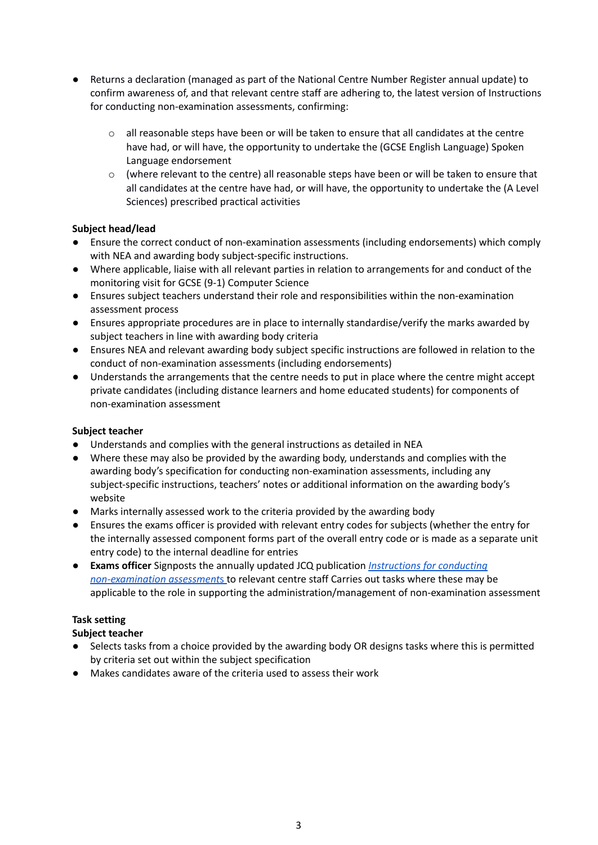- Returns a declaration (managed as part of the National Centre Number Register annual update) to confirm awareness of, and that relevant centre staff are adhering to, the latest version of Instructions for conducting non-examination assessments, confirming:
	- $\circ$  all reasonable steps have been or will be taken to ensure that all candidates at the centre have had, or will have, the opportunity to undertake the (GCSE English Language) Spoken Language endorsement
	- $\circ$  (where relevant to the centre) all reasonable steps have been or will be taken to ensure that all candidates at the centre have had, or will have, the opportunity to undertake the (A Level Sciences) prescribed practical activities

# **Subject head/lead**

- Ensure the correct conduct of non-examination assessments (including endorsements) which comply with NEA and awarding body subject-specific instructions.
- Where applicable, liaise with all relevant parties in relation to arrangements for and conduct of the monitoring visit for GCSE (9-1) Computer Science
- Ensures subject teachers understand their role and responsibilities within the non-examination assessment process
- Ensures appropriate procedures are in place to internally standardise/verify the marks awarded by subject teachers in line with awarding body criteria
- Ensures NEA and relevant awarding body subject specific instructions are followed in relation to the conduct of non-examination assessments (including endorsements)
- Understands the arrangements that the centre needs to put in place where the centre might accept private candidates (including distance learners and home educated students) for components of non-examination assessment

# **Subject teacher**

- Understands and complies with the general instructions as detailed in NEA
- Where these may also be provided by the awarding body, understands and complies with the awarding body's specification for conducting non-examination assessments, including any subject-specific instructions, teachers' notes or additional information on the awarding body's website
- Marks internally assessed work to the criteria provided by the awarding body
- Ensures the exams officer is provided with relevant entry codes for subjects (whether the entry for the internally assessed component forms part of the overall entry code or is made as a separate unit entry code) to the internal deadline for entries
- **Exams officer** Signposts the annually updated JCQ publication *[Instructions](https://www.jcq.org.uk/exams-office/non-examination-assessments/) for conducting [non-examination](https://www.jcq.org.uk/exams-office/non-examination-assessments/) assessment*s to relevant centre staff Carries out tasks where these may be applicable to the role in supporting the administration/management of non-examination assessment

# **Task setting**

- Selects tasks from a choice provided by the awarding body OR designs tasks where this is permitted by criteria set out within the subject specification
- Makes candidates aware of the criteria used to assess their work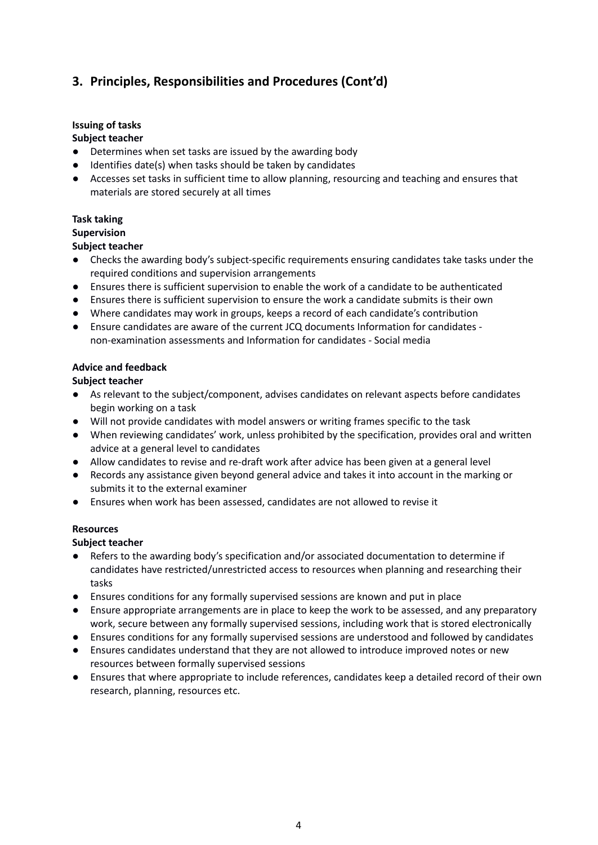# **Issuing of tasks**

# **Subject teacher**

- Determines when set tasks are issued by the awarding body
- Identifies date(s) when tasks should be taken by candidates
- Accesses set tasks in sufficient time to allow planning, resourcing and teaching and ensures that materials are stored securely at all times

# **Task taking**

#### **Supervision**

#### **Subject teacher**

- Checks the awarding body's subject-specific requirements ensuring candidates take tasks under the required conditions and supervision arrangements
- Ensures there is sufficient supervision to enable the work of a candidate to be authenticated
- Ensures there is sufficient supervision to ensure the work a candidate submits is their own
- Where candidates may work in groups, keeps a record of each candidate's contribution
- *●* Ensure candidates are aware of the current JCQ documents Information for candidates non-examination assessments and Information for candidates - Social media

#### **Advice and feedback**

#### **Subject teacher**

- As relevant to the subject/component, advises candidates on relevant aspects before candidates begin working on a task
- Will not provide candidates with model answers or writing frames specific to the task
- When reviewing candidates' work, unless prohibited by the specification, provides oral and written advice at a general level to candidates
- Allow candidates to revise and re-draft work after advice has been given at a general level
- Records any assistance given beyond general advice and takes it into account in the marking or submits it to the external examiner
- Ensures when work has been assessed, candidates are not allowed to revise it

# **Resources**

- Refers to the awarding body's specification and/or associated documentation to determine if candidates have restricted/unrestricted access to resources when planning and researching their tasks
- Ensures conditions for any formally supervised sessions are known and put in place
- Ensure appropriate arrangements are in place to keep the work to be assessed, and any preparatory work, secure between any formally supervised sessions, including work that is stored electronically
- Ensures conditions for any formally supervised sessions are understood and followed by candidates
- Ensures candidates understand that they are not allowed to introduce improved notes or new resources between formally supervised sessions
- Ensures that where appropriate to include references, candidates keep a detailed record of their own research, planning, resources etc.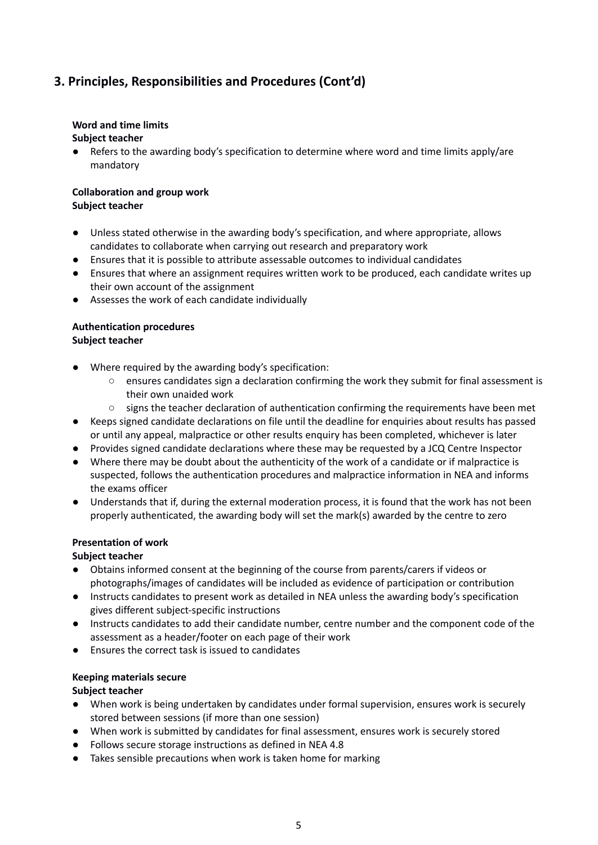# **Word and time limits**

# **Subject teacher**

Refers to the awarding body's specification to determine where word and time limits apply/are mandatory

#### **Collaboration and group work Subject teacher**

- Unless stated otherwise in the awarding body's specification, and where appropriate, allows candidates to collaborate when carrying out research and preparatory work
- Ensures that it is possible to attribute assessable outcomes to individual candidates
- Ensures that where an assignment requires written work to be produced, each candidate writes up their own account of the assignment
- Assesses the work of each candidate individually

# **Authentication procedures**

# **Subject teacher**

- Where required by the awarding body's specification:
	- ensures candidates sign a declaration confirming the work they submit for final assessment is their own unaided work
	- signs the teacher declaration of authentication confirming the requirements have been met
- Keeps signed candidate declarations on file until the deadline for enquiries about results has passed or until any appeal, malpractice or other results enquiry has been completed, whichever is later
- Provides signed candidate declarations where these may be requested by a JCQ Centre Inspector
- Where there may be doubt about the authenticity of the work of a candidate or if malpractice is suspected, follows the authentication procedures and malpractice information in NEA and informs the exams officer
- Understands that if, during the external moderation process, it is found that the work has not been properly authenticated, the awarding body will set the mark(s) awarded by the centre to zero

# **Presentation of work**

# **Subject teacher**

- Obtains informed consent at the beginning of the course from parents/carers if videos or photographs/images of candidates will be included as evidence of participation or contribution
- Instructs candidates to present work as detailed in NEA unless the awarding body's specification gives different subject-specific instructions
- Instructs candidates to add their candidate number, centre number and the component code of the assessment as a header/footer on each page of their work
- Ensures the correct task is issued to candidates

# **Keeping materials secure**

- When work is being undertaken by candidates under formal supervision, ensures work is securely stored between sessions (if more than one session)
- When work is submitted by candidates for final assessment, ensures work is securely stored
- Follows secure storage instructions as defined in NEA 4.8
- Takes sensible precautions when work is taken home for marking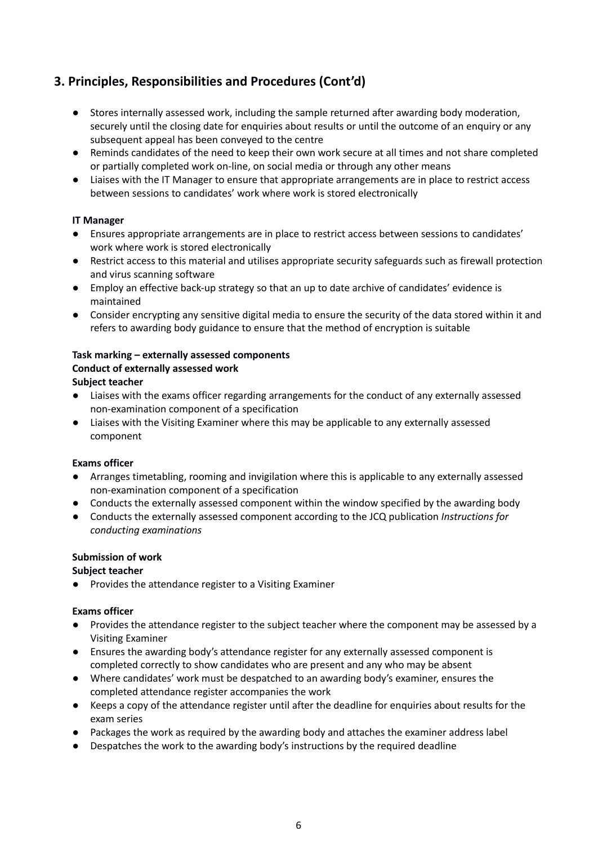- Stores internally assessed work, including the sample returned after awarding body moderation, securely until the closing date for enquiries about results or until the outcome of an enquiry or any subsequent appeal has been conveyed to the centre
- Reminds candidates of the need to keep their own work secure at all times and not share completed or partially completed work on-line, on social media or through any other means
- Liaises with the IT Manager to ensure that appropriate arrangements are in place to restrict access between sessions to candidates' work where work is stored electronically

# **IT Manager**

- Ensures appropriate arrangements are in place to restrict access between sessions to candidates' work where work is stored electronically
- Restrict access to this material and utilises appropriate security safeguards such as firewall protection and virus scanning software
- Employ an effective back-up strategy so that an up to date archive of candidates' evidence is maintained
- Consider encrypting any sensitive digital media to ensure the security of the data stored within it and refers to awarding body guidance to ensure that the method of encryption is suitable

# **Task marking – externally assessed components**

# **Conduct of externally assessed work**

#### **Subject teacher**

- Liaises with the exams officer regarding arrangements for the conduct of any externally assessed non-examination component of a specification
- Liaises with the Visiting Examiner where this may be applicable to any externally assessed component

#### **Exams officer**

- Arranges timetabling, rooming and invigilation where this is applicable to any externally assessed non-examination component of a specification
- Conducts the externally assessed component within the window specified by the awarding body
- *●* Conducts the externally assessed component according to the JCQ publication *Instructions for conducting examinations*

#### **Submission of work**

# **Subject teacher**

Provides the attendance register to a Visiting Examiner

#### **Exams officer**

- Provides the attendance register to the subject teacher where the component may be assessed by a Visiting Examiner
- Ensures the awarding body's attendance register for any externally assessed component is completed correctly to show candidates who are present and any who may be absent
- Where candidates' work must be despatched to an awarding body's examiner, ensures the completed attendance register accompanies the work
- Keeps a copy of the attendance register until after the deadline for enquiries about results for the exam series
- Packages the work as required by the awarding body and attaches the examiner address label
- Despatches the work to the awarding body's instructions by the required deadline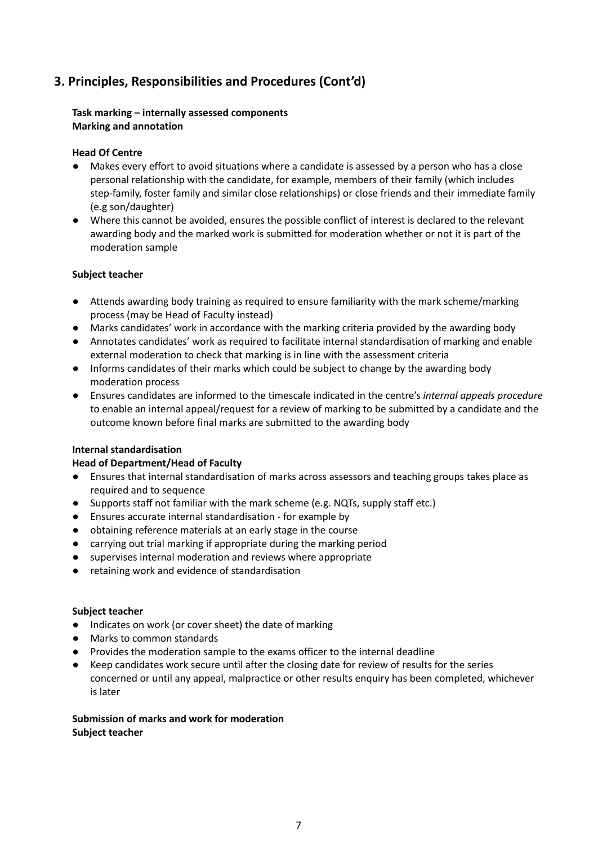#### **Task marking – internally assessed components Marking and annotation**

#### **Head Of Centre**

- Makes every effort to avoid situations where a candidate is assessed by a person who has a close personal relationship with the candidate, for example, members of their family (which includes step-family, foster family and similar close relationships) or close friends and their immediate family (e.g son/daughter)
- Where this cannot be avoided, ensures the possible conflict of interest is declared to the relevant awarding body and the marked work is submitted for moderation whether or not it is part of the moderation sample

#### **Subject teacher**

- Attends awarding body training as required to ensure familiarity with the mark scheme/marking process (may be Head of Faculty instead)
- Marks candidates' work in accordance with the marking criteria provided by the awarding body
- Annotates candidates' work as required to facilitate internal standardisation of marking and enable external moderation to check that marking is in line with the assessment criteria
- Informs candidates of their marks which could be subject to change by the awarding body moderation process
- Ensures candidates are informed to the timescale indicated in the centre's *internal appeals procedure* to enable an internal appeal/request for a review of marking to be submitted by a candidate and the outcome known before final marks are submitted to the awarding body

#### **Internal standardisation**

# **Head of Department/Head of Faculty**

- Ensures that internal standardisation of marks across assessors and teaching groups takes place as required and to sequence
- Supports staff not familiar with the mark scheme (e.g. NQTs, supply staff etc.)
- Ensures accurate internal standardisation for example by
- obtaining reference materials at an early stage in the course
- carrying out trial marking if appropriate during the marking period
- supervises internal moderation and reviews where appropriate
- retaining work and evidence of standardisation

#### **Subject teacher**

- Indicates on work (or cover sheet) the date of marking
- Marks to common standards
- Provides the moderation sample to the exams officer to the internal deadline
- Keep candidates work secure until after the closing date for review of results for the series concerned or until any appeal, malpractice or other results enquiry has been completed, whichever is later

#### **Submission of marks and work for moderation Subject teacher**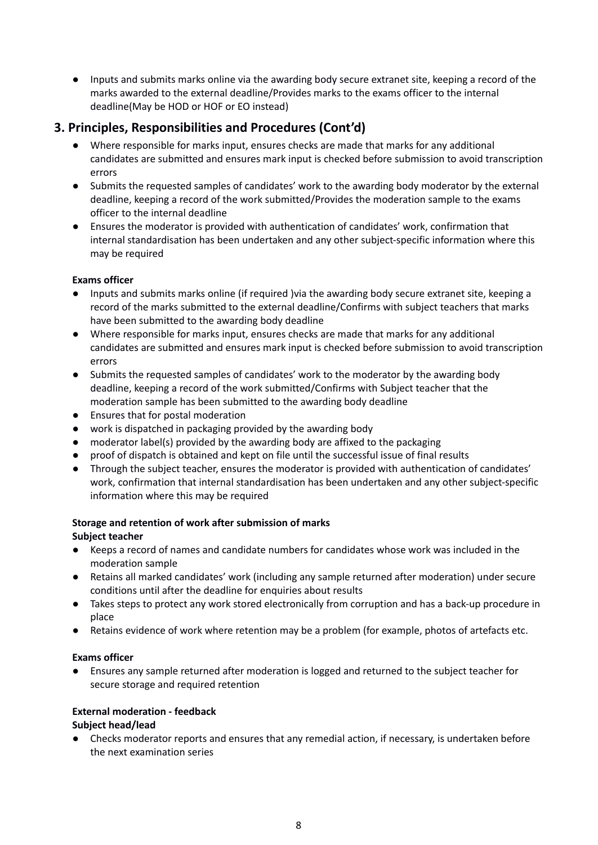● Inputs and submits marks online via the awarding body secure extranet site, keeping a record of the marks awarded to the external deadline/Provides marks to the exams officer to the internal deadline(May be HOD or HOF or EO instead)

# **3. Principles, Responsibilities and Procedures (Cont'd)**

- Where responsible for marks input, ensures checks are made that marks for any additional candidates are submitted and ensures mark input is checked before submission to avoid transcription errors
- Submits the requested samples of candidates' work to the awarding body moderator by the external deadline, keeping a record of the work submitted/Provides the moderation sample to the exams officer to the internal deadline
- Ensures the moderator is provided with authentication of candidates' work, confirmation that internal standardisation has been undertaken and any other subject-specific information where this may be required

# **Exams officer**

- Inputs and submits marks online (if required )via the awarding body secure extranet site, keeping a record of the marks submitted to the external deadline/Confirms with subject teachers that marks have been submitted to the awarding body deadline
- Where responsible for marks input, ensures checks are made that marks for any additional candidates are submitted and ensures mark input is checked before submission to avoid transcription errors
- Submits the requested samples of candidates' work to the moderator by the awarding body deadline, keeping a record of the work submitted/Confirms with Subject teacher that the moderation sample has been submitted to the awarding body deadline
- Ensures that for postal moderation
- work is dispatched in packaging provided by the awarding body
- moderator label(s) provided by the awarding body are affixed to the packaging
- proof of dispatch is obtained and kept on file until the successful issue of final results
- Through the subject teacher, ensures the moderator is provided with authentication of candidates' work, confirmation that internal standardisation has been undertaken and any other subject-specific information where this may be required

# **Storage and retention of work after submission of marks**

# **Subject teacher**

- Keeps a record of names and candidate numbers for candidates whose work was included in the moderation sample
- Retains all marked candidates' work (including any sample returned after moderation) under secure conditions until after the deadline for enquiries about results
- Takes steps to protect any work stored electronically from corruption and has a back-up procedure in place
- Retains evidence of work where retention may be a problem (for example, photos of artefacts etc.

# **Exams officer**

● Ensures any sample returned after moderation is logged and returned to the subject teacher for secure storage and required retention

# **External moderation - feedback**

# **Subject head/lead**

● Checks moderator reports and ensures that any remedial action, if necessary, is undertaken before the next examination series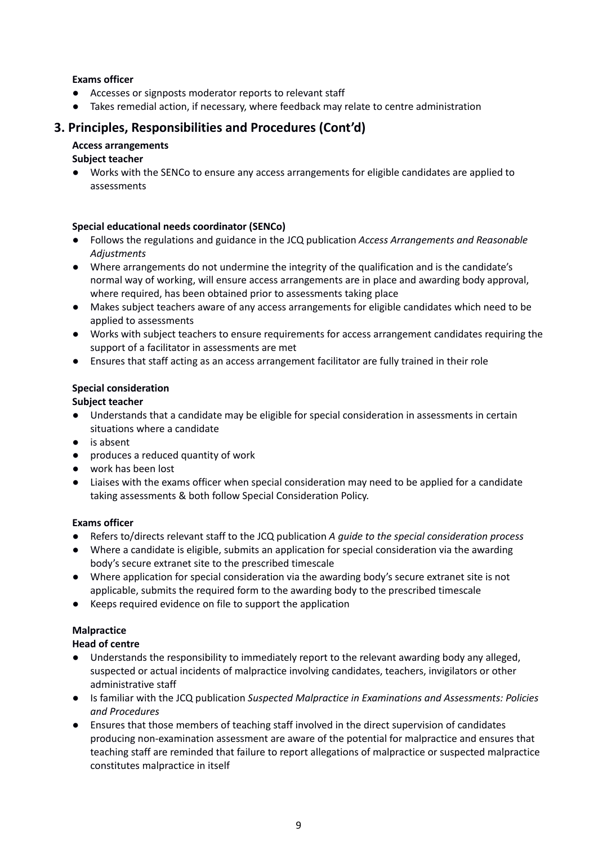# **Exams officer**

- Accesses or signposts moderator reports to relevant staff
- Takes remedial action, if necessary, where feedback may relate to centre administration

# **3. Principles, Responsibilities and Procedures (Cont'd)**

#### **Access arrangements**

#### **Subject teacher**

● Works with the SENCo to ensure any access arrangements for eligible candidates are applied to assessments

#### **Special educational needs coordinator (SENCo)**

- *●* Follows the regulations and guidance in the JCQ publication *Access Arrangements and Reasonable Adjustments*
- Where arrangements do not undermine the integrity of the qualification and is the candidate's normal way of working, will ensure access arrangements are in place and awarding body approval, where required, has been obtained prior to assessments taking place
- Makes subject teachers aware of any access arrangements for eligible candidates which need to be applied to assessments
- Works with subject teachers to ensure requirements for access arrangement candidates requiring the support of a facilitator in assessments are met
- Ensures that staff acting as an access arrangement facilitator are fully trained in their role

# **Special consideration**

#### **Subject teacher**

- Understands that a candidate may be eligible for special consideration in assessments in certain situations where a candidate
- is absent
- produces a reduced quantity of work
- work has been lost
- Liaises with the exams officer when special consideration may need to be applied for a candidate taking assessments & both follow Special Consideration Policy.

#### **Exams officer**

- *●* Refers to/directs relevant staff to the JCQ publication *A guide to the special consideration process*
- Where a candidate is eligible, submits an application for special consideration via the awarding body's secure extranet site to the prescribed timescale
- Where application for special consideration via the awarding body's secure extranet site is not applicable, submits the required form to the awarding body to the prescribed timescale
- Keeps required evidence on file to support the application

# **Malpractice**

#### **Head of centre**

- Understands the responsibility to immediately report to the relevant awarding body any alleged, suspected or actual incidents of malpractice involving candidates, teachers, invigilators or other administrative staff
- *●* Is familiar with the JCQ publication *Suspected Malpractice in Examinations and Assessments: Policies and Procedures*
- Ensures that those members of teaching staff involved in the direct supervision of candidates producing non-examination assessment are aware of the potential for malpractice and ensures that teaching staff are reminded that failure to report allegations of malpractice or suspected malpractice constitutes malpractice in itself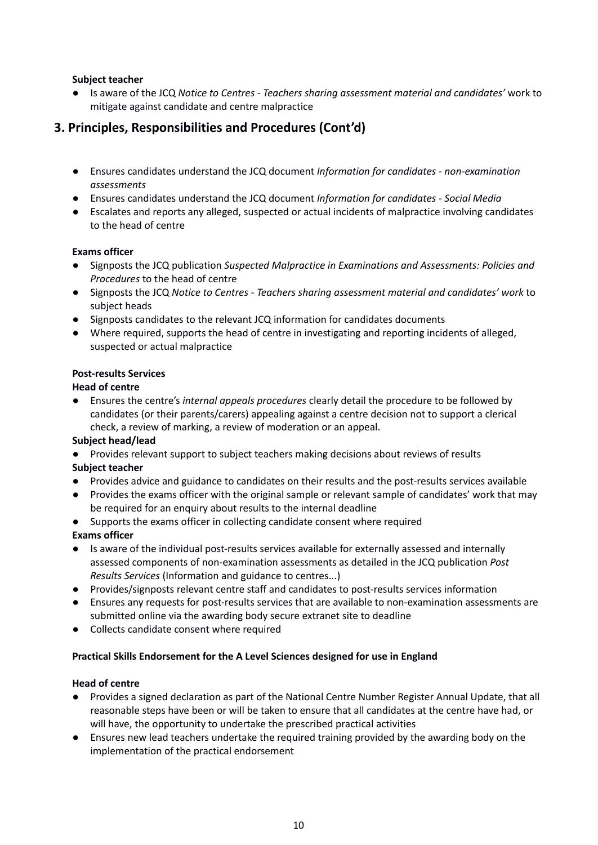# **Subject teacher**

*●* Is aware of the JCQ *Notice to Centres - Teachers sharing assessment material and candidates'* work to mitigate against candidate and centre malpractice

# **3. Principles, Responsibilities and Procedures (Cont'd)**

- *●* Ensures candidates understand the JCQ document *Information for candidates - non-examination assessments*
- *●* Ensures candidates understand the JCQ document *Information for candidates - Social Media*
- Escalates and reports any alleged, suspected or actual incidents of malpractice involving candidates to the head of centre

# **Exams officer**

- Signposts the JCQ publication *Suspected Malpractice in Examinations and Assessments: Policies and Procedures* to the head of centre
- Signposts the JCQ *Notice to Centres - Teachers sharing assessment material and candidates' work* to subject heads
- Signposts candidates to the relevant JCQ information for candidates documents
- Where required, supports the head of centre in investigating and reporting incidents of alleged, suspected or actual malpractice

# **Post-results Services**

#### **Head of centre**

● Ensures the centre's *internal appeals procedures* clearly detail the procedure to be followed by candidates (or their parents/carers) appealing against a centre decision not to support a clerical check, a review of marking, a review of moderation or an appeal.

#### **Subject head/lead**

● Provides relevant support to subject teachers making decisions about reviews of results

#### **Subject teacher**

- Provides advice and guidance to candidates on their results and the post-results services available
- Provides the exams officer with the original sample or relevant sample of candidates' work that may be required for an enquiry about results to the internal deadline
- Supports the exams officer in collecting candidate consent where required

# **Exams officer**

- Is aware of the individual post-results services available for externally assessed and internally assessed components of non-examination assessments as detailed in the JCQ publication *Post Results Services* (Information and guidance to centres...)
- Provides/signposts relevant centre staff and candidates to post-results services information
- Ensures any requests for post-results services that are available to non-examination assessments are submitted online via the awarding body secure extranet site to deadline
- Collects candidate consent where required

#### **Practical Skills Endorsement for the A Level Sciences designed for use in England**

#### **Head of centre**

- Provides a signed declaration as part of the National Centre Number Register Annual Update, that all reasonable steps have been or will be taken to ensure that all candidates at the centre have had, or will have, the opportunity to undertake the prescribed practical activities
- Ensures new lead teachers undertake the required training provided by the awarding body on the implementation of the practical endorsement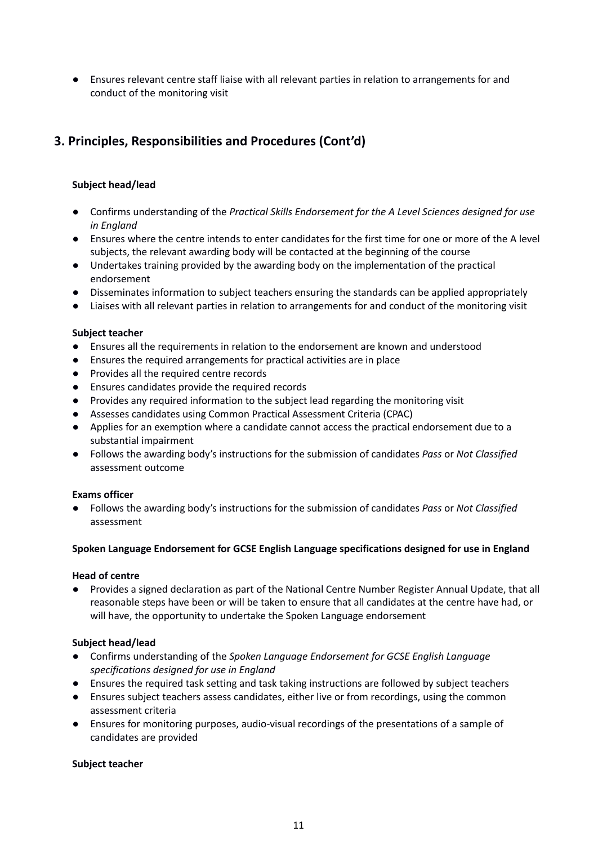● Ensures relevant centre staff liaise with all relevant parties in relation to arrangements for and conduct of the monitoring visit

# **3. Principles, Responsibilities and Procedures (Cont'd)**

# **Subject head/lead**

- *●* Confirms understanding of the *Practical Skills Endorsement for the A Level Sciences designed for use in England*
- Ensures where the centre intends to enter candidates for the first time for one or more of the A level subjects, the relevant awarding body will be contacted at the beginning of the course
- Undertakes training provided by the awarding body on the implementation of the practical endorsement
- Disseminates information to subject teachers ensuring the standards can be applied appropriately
- Liaises with all relevant parties in relation to arrangements for and conduct of the monitoring visit

#### **Subject teacher**

- Ensures all the requirements in relation to the endorsement are known and understood
- Ensures the required arrangements for practical activities are in place
- Provides all the required centre records
- Ensures candidates provide the required records
- Provides any required information to the subject lead regarding the monitoring visit
- Assesses candidates using Common Practical Assessment Criteria (CPAC)
- Applies for an exemption where a candidate cannot access the practical endorsement due to a substantial impairment
- Follows the awarding body's instructions for the submission of candidates *Pass* or *Not Classified* assessment outcome

#### **Exams officer**

● Follows the awarding body's instructions for the submission of candidates *Pass* or *Not Classified* assessment

# **Spoken Language Endorsement for GCSE English Language specifications designed for use in England**

#### **Head of centre**

● Provides a signed declaration as part of the National Centre Number Register Annual Update, that all reasonable steps have been or will be taken to ensure that all candidates at the centre have had, or will have, the opportunity to undertake the Spoken Language endorsement

# **Subject head/lead**

- *●* Confirms understanding of the *Spoken Language Endorsement for GCSE English Language specifications designed for use in England*
- Ensures the required task setting and task taking instructions are followed by subject teachers
- Ensures subject teachers assess candidates, either live or from recordings, using the common assessment criteria
- Ensures for monitoring purposes, audio-visual recordings of the presentations of a sample of candidates are provided